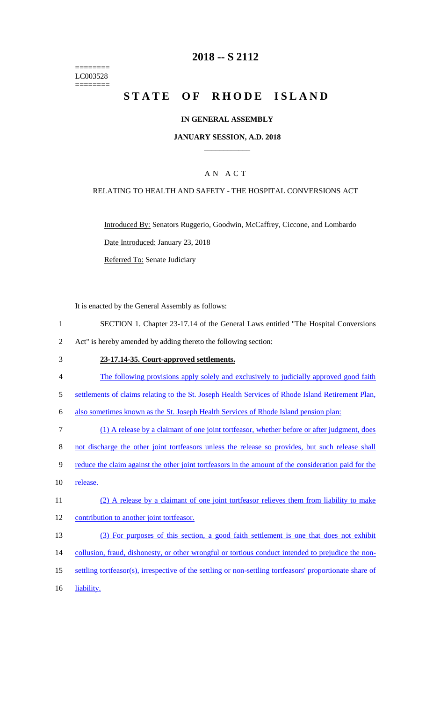======== LC003528 ========

## **2018 -- S 2112**

# STATE OF RHODE ISLAND

### **IN GENERAL ASSEMBLY**

#### **JANUARY SESSION, A.D. 2018 \_\_\_\_\_\_\_\_\_\_\_\_**

### A N A C T

### RELATING TO HEALTH AND SAFETY - THE HOSPITAL CONVERSIONS ACT

Introduced By: Senators Ruggerio, Goodwin, McCaffrey, Ciccone, and Lombardo Date Introduced: January 23, 2018 Referred To: Senate Judiciary

It is enacted by the General Assembly as follows:

- 1 SECTION 1. Chapter 23-17.14 of the General Laws entitled "The Hospital Conversions 2 Act" is hereby amended by adding thereto the following section:
- 3 **23-17.14-35. Court-approved settlements.**
- 4 The following provisions apply solely and exclusively to judicially approved good faith
- 5 settlements of claims relating to the St. Joseph Health Services of Rhode Island Retirement Plan,

6 also sometimes known as the St. Joseph Health Services of Rhode Island pension plan:

7 (1) A release by a claimant of one joint tortfeasor, whether before or after judgment, does

8 not discharge the other joint tortfeasors unless the release so provides, but such release shall

- 9 reduce the claim against the other joint tortfeasors in the amount of the consideration paid for the
- 10 release.
- 11 (2) A release by a claimant of one joint tortfeasor relieves them from liability to make
- 12 contribution to another joint tortfeasor.
- 13 (3) For purposes of this section, a good faith settlement is one that does not exhibit
- 14 collusion, fraud, dishonesty, or other wrongful or tortious conduct intended to prejudice the non-
- 15 settling tortfeasor(s), irrespective of the settling or non-settling tortfeasors' proportionate share of
- 16 liability.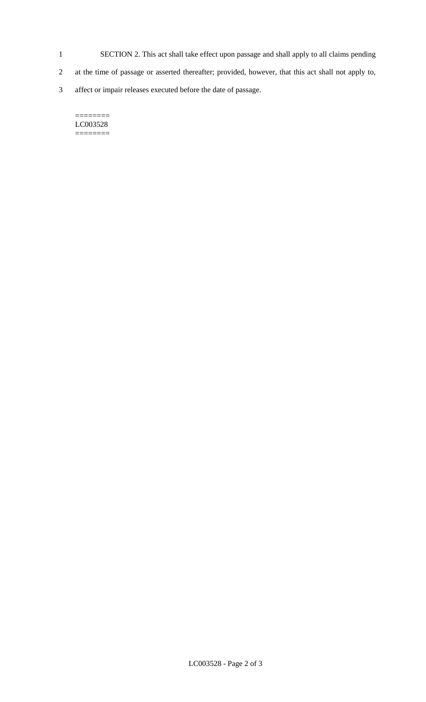- 1 SECTION 2. This act shall take effect upon passage and shall apply to all claims pending
- 2 at the time of passage or asserted thereafter; provided, however, that this act shall not apply to,
- 3 affect or impair releases executed before the date of passage.

#### $=$ LC003528 ========